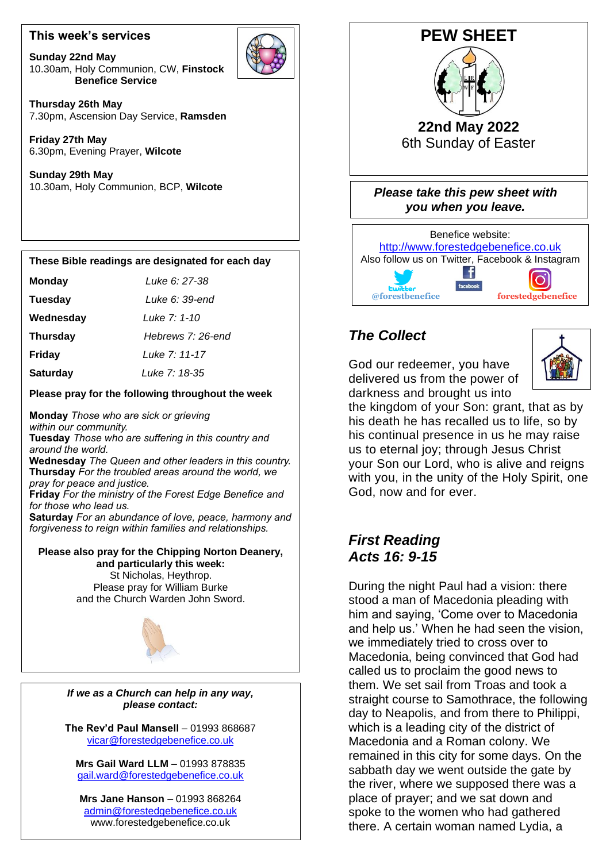### **This week's services**

**Sunday 22nd May** 10.30am, Holy Communion, CW, **Finstock Benefice Service**



**Thursday 26th May** 7.30pm, Ascension Day Service, **Ramsden**

**Friday 27th May** 6.30pm, Evening Prayer, **Wilcote**

**Sunday 29th May** 10.30am, Holy Communion, BCP, **Wilcote**

## **These Bible readings are designated for each day**

| Monday | Luke 6: 27-38 |
|--------|---------------|
|        |               |

 **Tuesday** *Luke 6: 39-end*

**Wednesday** *Luke 7: 1-10*

**Thursday** *Hebrews 7: 26-end*

 **Friday** *Luke 7: 11-17*

**Saturday** *Luke 7: 18-35*

**Please pray for the following throughout the week** 

**Monday** *Those who are sick or grieving within our community.* **Tuesday** *Those who are suffering in this country and around the world.*

**Wednesday** *The Queen and other leaders in this country.* **Thursday** *For the troubled areas around the world, we pray for peace and justice.*

 **Friday** *For the ministry of the Forest Edge Benefice and for those who lead us.*

 *forgiveness to reign within families and relationships.* **Saturday** *For an abundance of love, peace, harmony and*

#### St Nicholas, Heythrop. **Please also pray for the Chipping Norton Deanery, and particularly this week:**

Please pray for William Burke and the Church Warden John Sword.



*If we as a Church can help in any way, please contact:*

**The Rev'd Paul Mansell** – 01993 868687 [vicar@forestedgebenefice.co.uk](mailto:vicar@forestedgebenefice.co.uk)

**Mrs Gail Ward LLM** – 01993 878835 [gail.ward@forestedgebenefice.co.uk](mailto:gail.ward@forestedgebenefice.co.uk)

**Mrs Jane Hanson** – 01993 868264 [admin@forestedgebenefice.co.uk](mailto:admin@forestedgebenefice.co.uk) www.forestedgebenefice.co.uk



# *The Collect*

God our redeemer, you have delivered us from the power of darkness and brought us into



the kingdom of your Son: grant, that as by his death he has recalled us to life, so by his continual presence in us he may raise us to eternal joy; through Jesus Christ your Son our Lord, who is alive and reigns with you, in the unity of the Holy Spirit, one God, now and for ever.

# *First Reading Acts 16: 9-15*

During the night Paul had a vision: there stood a man of Macedonia pleading with him and saying, 'Come over to Macedonia and help us.' When he had seen the vision, we immediately tried to cross over to Macedonia, being convinced that God had called us to proclaim the good news to them. We set sail from Troas and took a straight course to Samothrace, the following day to Neapolis, and from there to Philippi, which is a leading city of the district of Macedonia and a Roman colony. We remained in this city for some days. On the sabbath day we went outside the gate by the river, where we supposed there was a place of prayer; and we sat down and spoke to the women who had gathered there. A certain woman named Lydia, a